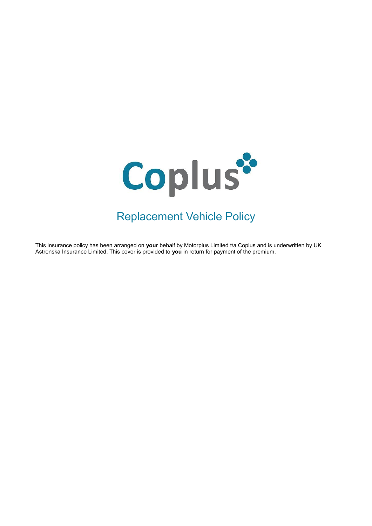

# Replacement Vehicle Policy

This insurance policy has been arranged on **your** behalf by Motorplus Limited t/a Coplus and is underwritten by UK Astrenska Insurance Limited. This cover is provided to **you** in return for payment of the premium.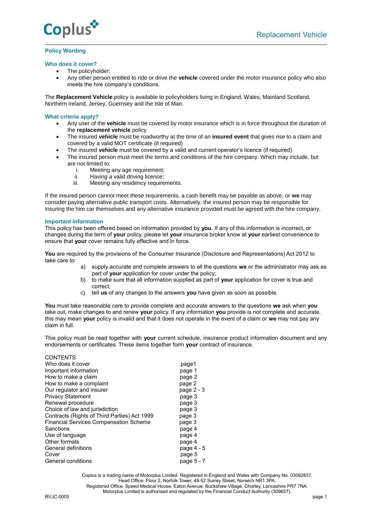

# **Policy Wording**

# **Who does it cover?**

- The policyholder;
- Any other person entitled to ride or drive the **vehicle** covered under the motor insurance policy who also meets the hire company's conditions.

The **Replacement Vehicle** policy is available to policyholders living in England, Wales, Mainland Scotland, Northern Ireland, Jersey, Guernsey and the Isle of Man.

# **What criteria apply?**

- Any user of the **vehicle** must be covered by motor insurance which is in force throughout the duration of the **replacement vehicle** policy
- The insured **vehicle** must be roadworthy at the time of an **insured event** that gives rise to a claim and covered by a valid MOT certificate (if required)
- The insured **vehicle** must be covered by a valid and current operator's licence (if required)
- The insured person must meet the terms and conditions of the hire company. Which may include, but are not limited to:
	- i. Meeting any age requirement;<br>ii. Having a valid driving licence;
	- ii. Having a valid driving licence;<br>iii. Meeting any residency require
	- Meeting any residency requirements.

If the insured person cannot meet these requirements, a cash benefit may be payable as above, or **we** may consider paying alternative public transport costs. Alternatively, the insured person may be responsible for insuring the hire car themselves and any alternative insurance provided must be agreed with the hire company.

# **Important information**

This policy has been offered based on information provided by **you**. If any of this information is incorrect, or changes during the term of **your** policy, please let **your** insurance broker know at **your** earliest convenience to ensure that **your** cover remains fully effective and in force.

**You** are required by the provisions of the Consumer Insurance (Disclosure and Representations) Act 2012 to take care to:

- a) supply accurate and complete answers to all the questions **we** or the administrator may ask as part of **your** application for cover under the policy;
- b) to make sure that all information supplied as part of **your** application for cover is true and correct;
- c) tell **us** of any changes to the answers **you** have given as soon as possible.

**You** must take reasonable care to provide complete and accurate answers to the questions **we** ask when **you** take out, make changes to and renew **your** policy. If any information **you** provide is not complete and accurate, this may mean **your** policy is invalid and that it does not operate in the event of a claim or **we** may not pay any claim in full.

This policy must be read together with **your** current schedule, insurance product information document and any endorsements or certificates. These items together form **your** contract of insurance.

| <b>CONTENTS</b>                               |            |
|-----------------------------------------------|------------|
| Who does it cover                             | page1      |
| Important information                         | page 1     |
| How to make a claim                           | page 2     |
| How to make a complaint                       | page 2     |
| Our regulator and insurer                     | page 2 - 3 |
| <b>Privacy Statement</b>                      | page 3     |
| Renewal procedure                             | page 3     |
| Choice of law and jurisdiction                | page 3     |
| Contracts (Rights of Third Parties) Act 1999  | page 3     |
| <b>Financial Services Compensation Scheme</b> | page 3     |
| Sanctions                                     | page 4     |
| Use of language                               | page 4     |
| Other formats                                 | page 4     |
| General definitions                           | page 4 - 5 |
| Cover                                         | page 5     |
| General conditions                            | page 5 - 7 |
|                                               |            |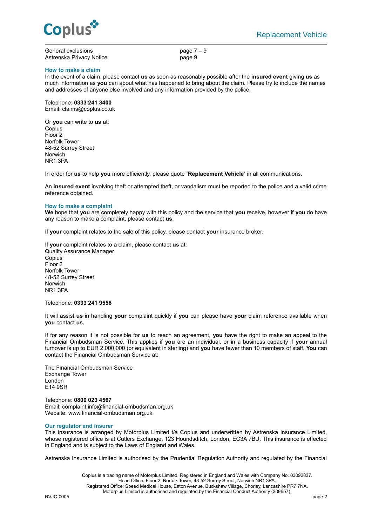

| General exclusions       |  |
|--------------------------|--|
| Astrenska Privacv Notice |  |

page  $7 - 9$ page 9

## **How to make a claim**

In the event of a claim, please contact **us** as soon as reasonably possible after the **insured event** giving **us** as much information as **you** can about what has happened to bring about the claim. Please try to include the names and addresses of anyone else involved and any information provided by the police.

Telephone: **0333 241 3400** Email: claims@coplus.co.uk

Or **you** can write to **us** at: Coplus Floor 2 Norfolk Tower 48-52 Surrey Street Norwich NR1 3PA

In order for **us** to help **you** more efficiently, please quote **'Replacement Vehicle'** in all communications.

An **insured event** involving theft or attempted theft, or vandalism must be reported to the police and a valid crime reference obtained.

#### **How to make a complaint**

**We** hope that **you** are completely happy with this policy and the service that **you** receive, however if **you** do have any reason to make a complaint, please contact **us**.

If **your** complaint relates to the sale of this policy, please contact **your** insurance broker.

If **your** complaint relates to a claim, please contact **us** at: Quality Assurance Manager **Coplus** Floor 2 Norfolk Tower 48-52 Surrey Street Norwich NR1 3PA

Telephone: **0333 241 9556**

It will assist **us** in handling **your** complaint quickly if **you** can please have **your** claim reference available when **you** contact **us**.

If for any reason it is not possible for **us** to reach an agreement, **you** have the right to make an appeal to the Financial Ombudsman Service. This applies if **you** are an individual, or in a business capacity if **your** annual turnover is up to EUR 2,000,000 (or equivalent in sterling) and **you** have fewer than 10 members of staff. **You** can contact the Financial Ombudsman Service at:

The Financial Ombudsman Service Exchange Tower London E14 9SR

Telephone: **0800 023 4567** Email[: complaint.info@financial-ombudsman.org.uk](mailto:complaint.info@financial-ombudsman.org.uk) Website: [www.financial-ombudsman.org.uk](http://www.financial-ombudsman.org.uk/)

#### **Our regulator and insurer**

This insurance is arranged by Motorplus Limited t/a Coplus and underwritten by Astrenska Insurance Limited, whose registered office is at Cutlers Exchange, 123 Houndsditch, London, EC3A 7BU. This insurance is effected in England and is subject to the Laws of England and Wales.

Astrenska Insurance Limited is authorised by the Prudential Regulation Authority and regulated by the Financial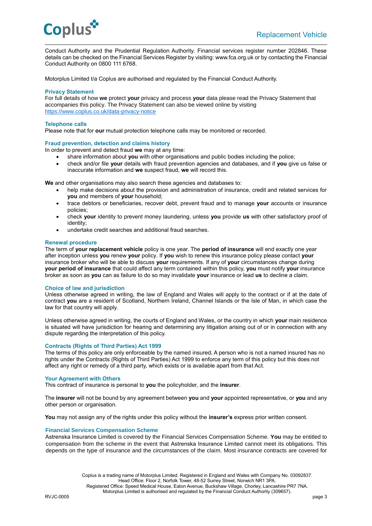

Conduct Authority and the Prudential Regulation Authority. Financial services register number 202846. These details can be checked on the Financial Services Register by visiting: www.fca.org.uk or by contacting the Financial Conduct Authority on 0800 111 6768.

Motorplus Limited t/a Coplus are authorised and regulated by the Financial Conduct Authority.

# **Privacy Statement**

For full details of how **we** protect **your** privacy and process **your** data please read the Privacy Statement that accompanies this policy. The Privacy Statement can also be viewed online by visiting [https://www.coplus.co.uk/data-privacy-notice](https://www.coplus.co.uk/data-privacy-notice/)

#### **Telephone calls**

Please note that for **our** mutual protection telephone calls may be monitored or recorded.

#### **Fraud prevention, detection and claims history**

In order to prevent and detect fraud **we** may at any time:

- share information about **you** with other organisations and public bodies including the police;
- check and/or file **your** details with fraud prevention agencies and databases, and if **you** give us false or inaccurate information and **we** suspect fraud, **we** will record this.

**We** and other organisations may also search these agencies and databases to:

- help make decisions about the provision and administration of insurance, credit and related services for **you** and members of **your** household;
- trace debtors or beneficiaries, recover debt, prevent fraud and to manage **your** accounts or insurance policies;
- check **your** identity to prevent money laundering, unless **you** provide **us** with other satisfactory proof of identity;
- undertake credit searches and additional fraud searches.

#### **Renewal procedure**

The term of **your replacement vehicle** policy is one year. The **period of insurance** will end exactly one year after inception unless **you** renew **your** policy. If **you** wish to renew this insurance policy please contact **your**  insurance broker who will be able to discuss **your** requirements. If any of **your** circumstances change during **your period of insurance** that could affect any term contained within this policy, **you** must notify **your** insurance broker as soon as **you** can as failure to do so may invalidate **your** insurance or lead **us** to decline a claim.

#### **Choice of law and jurisdiction**

Unless otherwise agreed in writing, the law of England and Wales will apply to the contract or if at the date of contract **you** are a resident of Scotland, Northern Ireland, Channel Islands or the Isle of Man, in which case the law for that country will apply.

Unless otherwise agreed in writing, the courts of England and Wales, or the country in which **your** main residence is situated will have jurisdiction for hearing and determining any litigation arising out of or in connection with any dispute regarding the interpretation of this policy.

# **Contracts (Rights of Third Parties) Act 1999**

The terms of this policy are only enforceable by the named insured**.** A person who is not a named insured has no rights under the Contracts (Rights of Third Parties) Act 1999 to enforce any term of this policy but this does not affect any right or remedy of a third party, which exists or is available apart from that Act.

## **Your Agreement with Others**

This contract of insurance is personal to **you** the policyholder, and the **insurer**.

The **insurer** will not be bound by any agreement between **you** and **your** appointed representative, or **you** and any other person or organisation.

**You** may not assign any of the rights under this policy without the **insurer's** express prior written consent.

## **Financial Services Compensation Scheme**

Astrenska Insurance Limited is covered by the Financial Services Compensation Scheme. **You** may be entitled to compensation from the scheme in the event that Astrenska Insurance Limited cannot meet its obligations. This depends on the type of insurance and the circumstances of the claim. Most insurance contracts are covered for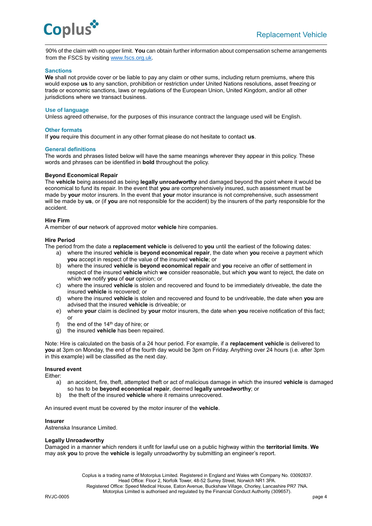

90% of the claim with no upper limit. **You** can obtain further information about compensation scheme arrangements from the FSCS by visiting [www.fscs.org.uk.](http://www.fscs.org.uk/)

## **Sanctions**

**We** shall not provide cover or be liable to pay any claim or other sums, including return premiums, where this would expose **us** to any sanction, prohibition or restriction under United Nations resolutions, asset freezing or trade or economic sanctions, laws or regulations of the European Union, United Kingdom, and/or all other jurisdictions where we transact business.

#### **Use of language**

Unless agreed otherwise, for the purposes of this insurance contract the language used will be English.

#### **Other formats**

If **you** require this document in any other format please do not hesitate to contact **us**.

#### **General definitions**

The words and phrases listed below will have the same meanings wherever they appear in this policy. These words and phrases can be identified in **bold** throughout the policy.

#### **Beyond Economical Repair**

The **vehicle** being assessed as being **legally unroadworthy** and damaged beyond the point where it would be economical to fund its repair. In the event that **you** are comprehensively insured, such assessment must be made by **your** motor insurers. In the event that **your** motor insurance is not comprehensive, such assessment will be made by **us**, or (if **you** are not responsible for the accident) by the insurers of the party responsible for the accident.

#### **Hire Firm**

A member of **our** network of approved motor **vehicle** hire companies.

#### **Hire Period**

The period from the date a **replacement vehicle** is delivered to **you** until the earliest of the following dates:

- a) where the insured **vehicle** is **beyond economical repair**, the date when **you** receive a payment which **you** accept in respect of the value of the insured **vehicle**; or
- b) where the insured **vehicle** is **beyond economical repair** and **you** receive an offer of settlement in respect of the insured **vehicle** which **we** consider reasonable, but which **you** want to reject, the date on which **we** notify **you** of **our** opinion; or
- c) where the insured **vehicle** is stolen and recovered and found to be immediately driveable, the date the insured **vehicle** is recovered; or
- d) where the insured **vehicle** is stolen and recovered and found to be undriveable, the date when **you** are advised that the insured **vehicle** is driveable; or
- e) where **your** claim is declined by **your** motor insurers, the date when **you** receive notification of this fact; or
- f) the end of the  $14<sup>th</sup>$  day of hire; or
- g) the insured **vehicle** has been repaired.

Note: Hire is calculated on the basis of a 24 hour period. For example, if a **replacement vehicle** is delivered to **you** at 3pm on Monday, the end of the fourth day would be 3pm on Friday. Anything over 24 hours (i.e. after 3pm in this example) will be classified as the next day.

#### **Insured event**

Either:

- a) an accident, fire, theft, attempted theft or act of malicious damage in which the insured **vehicle** is damaged so has to be **beyond economical repair**, deemed **legally unroadworthy**; or
- b) the theft of the insured **vehicle** where it remains unrecovered.

An insured event must be covered by the motor insurer of the **vehicle**.

#### **Insurer**

Astrenska Insurance Limited.

## **Legally Unroadworthy**

Damaged in a manner which renders it unfit for lawful use on a public highway within the **territorial limits**. **We**  may ask **you** to prove the **vehicle** is legally unroadworthy by submitting an engineer's report.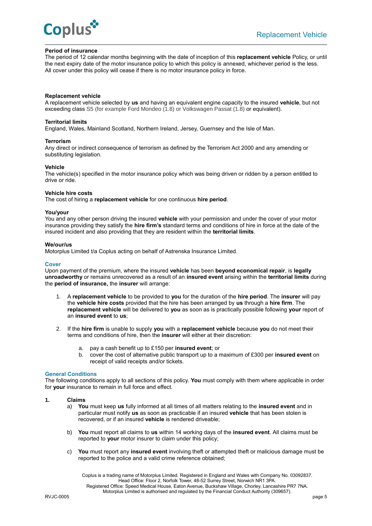

#### **Period of insurance**

The period of 12 calendar months beginning with the date of inception of this **replacement vehicle** Policy, or until the next expiry date of the motor insurance policy to which this policy is annexed, whichever period is the less. All cover under this policy will cease if there is no motor insurance policy in force.

## **Replacement vehicle**

A replacement vehicle selected by **us** and having an equivalent engine capacity to the insured **vehicle**, but not exceeding class S5 (for example Ford Mondeo (1.8) or Volkswagen Passat (1.8) or equivalent).

#### **Territorial limits**

England, Wales, Mainland Scotland, Northern Ireland, Jersey, Guernsey and the Isle of Man.

#### **Terrorism**

Any direct or indirect consequence of terrorism as defined by the Terrorism Act 2000 and any amending or substituting legislation.

#### **Vehicle**

The vehicle(s) specified in the motor insurance policy which was being driven or ridden by a person entitled to drive or ride.

#### **Vehicle hire costs**

The cost of hiring a **replacement vehicle** for one continuous **hire period**.

#### **You/your**

You and any other person driving the insured **vehicle** with your permission and under the cover of your motor insurance providing they satisfy the **hire firm's** standard terms and conditions of hire in force at the date of the insured incident and also providing that they are resident within the **territorial limits**.

#### **We/our/us**

Motorplus Limited t/a Coplus acting on behalf of Astrenska Insurance Limited.

#### **Cover**

Upon payment of the premium, where the insured **vehicle** has been **beyond economical repair**, is **legally unroadworthy** or remains unrecovered as a result of an **insured event** arising within the **territorial limits** during the **period of insurance,** the **insurer** will arrange:

- 1. A **replacement vehicle** to be provided to **you** for the duration of the **hire period**. The **insurer** will pay the **vehicle hire costs** provided that the hire has been arranged by **us** through a **hire firm**. The **replacement vehicle** will be delivered to **you** as soon as is practically possible following **your** report of an **insured event** to **us**;
- 2. If the **hire firm** is unable to supply **you** with a **replacement vehicle** because **you** do not meet their terms and conditions of hire, then the **insurer** will either at their discretion:
	- a. pay a cash benefit up to £150 per **insured event**; or
	- b. cover the cost of alternative public transport up to a maximum of £300 per **insured event** on receipt of valid receipts and/or tickets.

#### **General Conditions**

The following conditions apply to all sections of this policy. **You** must comply with them where applicable in order for **your** insurance to remain in full force and effect.

## **1. Claims**

- a) **You** must keep **us** fully informed at all times of all matters relating to the **insured event** and in particular must notify **us** as soon as practicable if an insured **vehicle** that has been stolen is recovered, or if an insured **vehicle** is rendered driveable;
- b) **You** must report all claims to **us** within 14 working days of the **insured event**. All claims must be reported to **your** motor insurer to claim under this policy;
- c) **You** must report any **insured event** involving theft or attempted theft or malicious damage must be reported to the police and a valid crime reference obtained;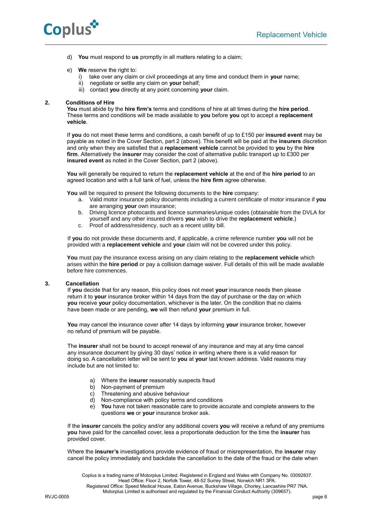

d) **You** must respond to **us** promptly in all matters relating to a claim;

## e) **We** reserve the right to:

- i) take over any claim or civil proceedings at any time and conduct them in **your** name;
- ii) negotiate or settle any claim on **your** behalf;
- iii) contact **you** directly at any point concerning **your** claim.

# **2. Conditions of Hire**

**You** must abide by the **hire firm's** terms and conditions of hire at all times during the **hire period**. These terms and conditions will be made available to **you** before **you** opt to accept a **replacement vehicle**.

If **you** do not meet these terms and conditions, a cash benefit of up to £150 per **insured event** may be payable as noted in the Cover Section, part 2 (above). This benefit will be paid at the **insurers** discretion and only when they are satisfied that a **replacement vehicle** cannot be provided to **you** by the **hire firm**. Alternatively the **insurer** may consider the cost of alternative public transport up to £300 per **insured event** as noted in the Cover Section, part 2 (above).

**You** will generally be required to return the **replacement vehicle** at the end of the **hire period** to an agreed location and with a full tank of fuel, unless the **hire firm** agree otherwise.

**You** will be required to present the following documents to the **hire** company:

- a. Valid motor insurance policy documents including a current certificate of motor insurance if **you**  are arranging **your** own insurance;
- b. Driving licence photocards and licence summaries/unique codes (obtainable from the DVLA for yourself and any other insured drivers **you** wish to drive the **replacement vehicle**.)
- c. Proof of address/residency, such as a recent utility bill.

If **you** do not provide these documents and, if applicable, a crime reference number **you** will not be provided with a **replacement vehicle** and **your** claim will not be covered under this policy.

**You** must pay the insurance excess arising on any claim relating to the **replacement vehicle** which arises within the **hire period** or pay a collision damage waiver. Full details of this will be made available before hire commences.

#### **3. Cancellation**

If **you** decide that for any reason, this policy does not meet **your** insurance needs then please return it to **your** insurance broker within 14 days from the day of purchase or the day on which **you** receive **your** policy documentation, whichever is the later. On the condition that no claims have been made or are pending, **we** will then refund **your** premium in full.

**You** may cancel the insurance cover after 14 days by informing **your** insurance broker, however no refund of premium will be payable.

The **insurer** shall not be bound to accept renewal of any insurance and may at any time cancel any insurance document by giving 30 days' notice in writing where there is a valid reason for doing so. A cancellation letter will be sent to **you** at **your** last known address. Valid reasons may include but are not limited to:

- a) Where the **insurer** reasonably suspects fraud
- b) Non-payment of premium
- c) Threatening and abusive behaviour
- d) Non-compliance with policy terms and conditions
- e) **You** have not taken reasonable care to provide accurate and complete answers to the questions **we** or **your** insurance broker ask.

If the **insurer** cancels the policy and/or any additional covers **you** will receive a refund of any premiums **you** have paid for the cancelled cover, less a proportionate deduction for the time the **insurer** has provided cover.

Where the **insurer's** investigations provide evidence of fraud or misrepresentation, the **insurer** may cancel the policy immediately and backdate the cancellation to the date of the fraud or the date when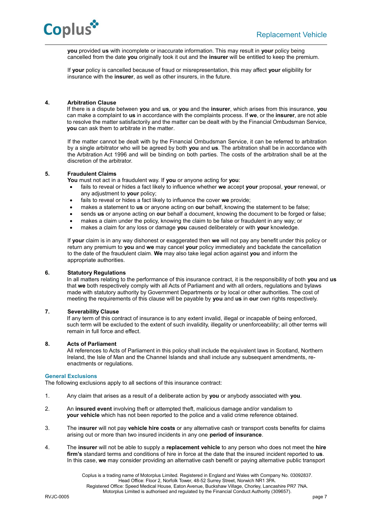

**you** provided **us** with incomplete or inaccurate information. This may result in **your** policy being cancelled from the date **you** originally took it out and the **insurer** will be entitled to keep the premium.

If **your** policy is cancelled because of fraud or misrepresentation, this may affect **your** eligibility for insurance with the **insurer**, as well as other insurers, in the future.

# **4. Arbitration Clause**

If there is a dispute between **you** and **us**, or **you** and the **insurer**, which arises from this insurance, **you** can make a complaint to **us** in accordance with the complaints process. If **we**, or the **insurer**, are not able to resolve the matter satisfactorily and the matter can be dealt with by the Financial Ombudsman Service, **you** can ask them to arbitrate in the matter.

If the matter cannot be dealt with by the Financial Ombudsman Service, it can be referred to arbitration by a single arbitrator who will be agreed by both **you** and **us**. The arbitration shall be in accordance with the Arbitration Act 1996 and will be binding on both parties. The costs of the arbitration shall be at the discretion of the arbitrator.

# **5. Fraudulent Claims**

**You** must not act in a fraudulent way. If **you** or anyone acting for **you**:

- fails to reveal or hides a fact likely to influence whether **we** accept **your** proposal, **your** renewal, or any adjustment to **your** policy;
- fails to reveal or hides a fact likely to influence the cover **we** provide;
- makes a statement to **us** or anyone acting on **our** behalf, knowing the statement to be false;
- sends **us** or anyone acting on **our** behalf a document, knowing the document to be forged or false;
- makes a claim under the policy, knowing the claim to be false or fraudulent in any way; or
- makes a claim for any loss or damage **you** caused deliberately or with **your** knowledge.

If **your** claim is in any way dishonest or exaggerated then **we** will not pay any benefit under this policy or return any premium to **you** and **we** may cancel **your** policy immediately and backdate the cancellation to the date of the fraudulent claim. **We** may also take legal action against **you** and inform the appropriate authorities.

## **6. Statutory Regulations**

In all matters relating to the performance of this insurance contract, it is the responsibility of both **you** and **us** that **we** both respectively comply with all Acts of Parliament and with all orders, regulations and bylaws made with statutory authority by Government Departments or by local or other authorities. The cost of meeting the requirements of this clause will be payable by **you** and **us** in **our** own rights respectively.

# **7. Severability Clause**

If any term of this contract of insurance is to any extent invalid, illegal or incapable of being enforced, such term will be excluded to the extent of such invalidity, illegality or unenforceability; all other terms will remain in full force and effect.

## **8. Acts of Parliament**

All references to Acts of Parliament in this policy shall include the equivalent laws in Scotland, Northern Ireland, the Isle of Man and the Channel Islands and shall include any subsequent amendments, reenactments or regulations.

## **General Exclusions**

The following exclusions apply to all sections of this insurance contract:

- 1. Any claim that arises as a result of a deliberate action by **you** or anybody associated with **you**.
- 2. An **insured event** involving theft or attempted theft, malicious damage and/or vandalism to **your vehicle** which has not been reported to the police and a valid crime reference obtained.
- 3. The i**nsurer** will not pay **vehicle hire costs** or any alternative cash or transport costs benefits for claims arising out or more than two insured incidents in any one **period of insurance**.
- 4. The **insurer** will not be able to supply a **replacement vehicle** to any person who does not meet the **hire firm's** standard terms and conditions of hire in force at the date that the insured incident reported to **us**. In this case, **we** may consider providing an alternative cash benefit or paying alternative public transport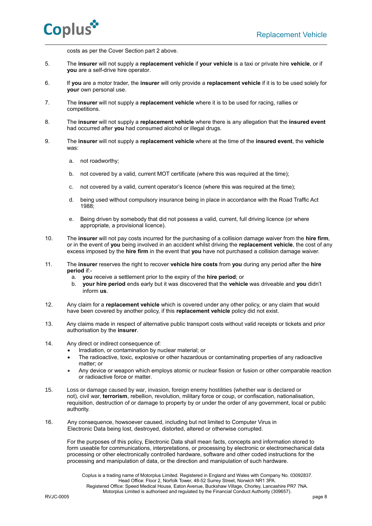costs as per the Cover Section part 2 above.

- 5.The **insurer** will not supply a **replacement vehicle** if **your vehicle** is a taxi or private hire **vehicle**, or if **you** are a self-drive hire operator.
- 6. If **you** are a motor trader, the **insurer** will only provide a **replacement vehicle** if it is to be used solely for **your** own personal use.
- 7. The **insurer** will not supply a **replacement vehicle** where it is to be used for racing, rallies or competitions.
- 8. The **insurer** will not supply a **replacement vehicle** where there is any allegation that the **insured event** had occurred after **you** had consumed alcohol or illegal drugs.
- 9. The **insurer** will not supply a **replacement vehicle** where at the time of the **insured event**, the **vehicle** was:
	- a. not roadworthy;
	- b. not covered by a valid, current MOT certificate (where this was required at the time);
	- c. not covered by a valid, current operator's licence (where this was required at the time);
	- d. being used without compulsory insurance being in place in accordance with the Road Traffic Act 1988;
	- e. Being driven by somebody that did not possess a valid, current, full driving licence (or where appropriate, a provisional licence).
- 10. The **insurer** will not pay costs incurred for the purchasing of a collision damage waiver from the **hire firm**, or in the event of **you** being involved in an accident whilst driving the **replacement vehicle**, the cost of any excess imposed by the **hire firm** in the event that **you** have not purchased a collision damage waiver.
- 11. The **insurer** reserves the right to recover **vehicle hire costs** from **you** during any period after the **hire period** if:
	- a. **you** receive a settlement prior to the expiry of the **hire period**; or
	- b. **your hire period** ends early but it was discovered that the **vehicle** was driveable and **you** didn't inform **us**.
- 12. Any claim for a **replacement vehicle** which is covered under any other policy, or any claim that would have been covered by another policy, if this **replacement vehicle** policy did not exist.
- 13. Any claims made in respect of alternative public transport costs without valid receipts or tickets and prior authorisation by the **insurer**.
- 14. Any direct or indirect consequence of:
	- Irradiation, or contamination by nuclear material; or
	- The radioactive, toxic, explosive or other hazardous or contaminating properties of any radioactive matter; or
	- Any device or weapon which employs atomic or nuclear fission or fusion or other comparable reaction or radioactive force or matter.
- 15. Loss or damage caused by war, invasion, foreign enemy hostilities (whether war is declared or not), civil war, **terrorism**, rebellion, revolution, military force or coup, or confiscation, nationalisation, requisition, destruction of or damage to property by or under the order of any government, local or public authority.
- 16. Any consequence, howsoever caused, including but not limited to Computer Virus in Electronic Data being lost, destroyed, distorted, altered or otherwise corrupted.

For the purposes of this policy, Electronic Data shall mean facts, concepts and information stored to form useable for communications, interpretations, or processing by electronic or electromechanical data processing or other electronically controlled hardware, software and other coded instructions for the processing and manipulation of data, or the direction and manipulation of such hardware.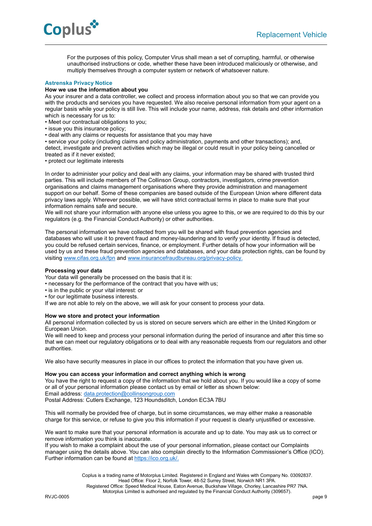

For the purposes of this policy, Computer Virus shall mean a set of corrupting, harmful, or otherwise unauthorised instructions or code, whether these have been introduced maliciously or otherwise, and multiply themselves through a computer system or network of whatsoever nature.

# **Astrenska Privacy Notice**

# **How we use the information about you**

As your insurer and a data controller, we collect and process information about you so that we can provide you with the products and services you have requested. We also receive personal information from your agent on a regular basis while your policy is still live. This will include your name, address, risk details and other information which is necessary for us to:

- Meet our contractual obligations to you;
- issue you this insurance policy;
- deal with any claims or requests for assistance that you may have

• service your policy (including claims and policy administration, payments and other transactions); and, detect, investigate and prevent activities which may be illegal or could result in your policy being cancelled or treated as if it never existed;

• protect our legitimate interests

In order to administer your policy and deal with any claims, your information may be shared with trusted third parties. This will include members of The Collinson Group, contractors, investigators, crime prevention organisations and claims management organisations where they provide administration and management support on our behalf. Some of these companies are based outside of the European Union where different data privacy laws apply. Wherever possible, we will have strict contractual terms in place to make sure that your information remains safe and secure.

We will not share your information with anyone else unless you agree to this, or we are required to do this by our regulators (e.g. the Financial Conduct Authority) or other authorities.

The personal information we have collected from you will be shared with fraud prevention agencies and databases who will use it to prevent fraud and money-laundering and to verify your identity. If fraud is detected, you could be refused certain services, finance, or employment. Further details of how your information will be used by us and these fraud prevention agencies and databases, and your data protection rights, can be found by visiting [www.cifas.org.uk/fpn](file://///mp-fp01/files/Commercial/Ops%20forms%20&%20Check%20lists/Check%20lists/Templates/www.cifas.org.uk/fpn) an[d www.insurancefraudbureau.org/privacy-policy.](http://www.insurancefraudbureau.org/privacy-policy)

## **Processing your data**

Your data will generally be processed on the basis that it is:

- necessary for the performance of the contract that you have with us;
- is in the public or your vital interest: or
- for our legitimate business interests.

If we are not able to rely on the above, we will ask for your consent to process your data.

# **How we store and protect your information**

All personal information collected by us is stored on secure servers which are either in the United Kingdom or European Union.

We will need to keep and process your personal information during the period of insurance and after this time so that we can meet our regulatory obligations or to deal with any reasonable requests from our regulators and other authorities.

We also have security measures in place in our offices to protect the information that you have given us.

## **How you can access your information and correct anything which is wrong**

You have the right to request a copy of the information that we hold about you. If you would like a copy of some or all of your personal information please contact us by email or letter as shown below: Email address: [data.protection@collinsongroup.com](mailto:data.protection@collinsongroup.com) Postal Address: Cutlers Exchange, 123 Houndsditch, London EC3A 7BU

This will normally be provided free of charge, but in some circumstances, we may either make a reasonable charge for this service, or refuse to give you this information if your request is clearly unjustified or excessive.

We want to make sure that your personal information is accurate and up to date. You may ask us to correct or remove information you think is inaccurate.

If you wish to make a complaint about the use of your personal information, please contact our Complaints manager using the details above. You can also complain directly to the Information Commissioner's Office (ICO). Further information can be found at [https://ico.org.uk/.](https://ico.org.uk/)